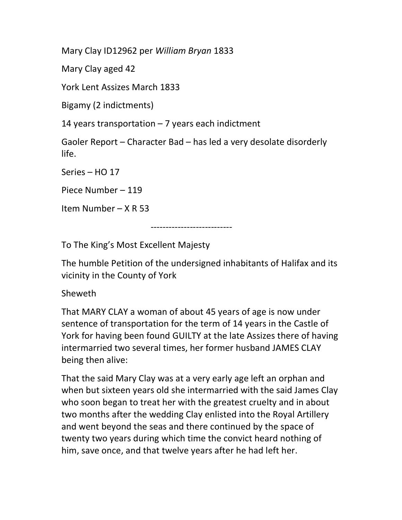Mary Clay ID12962 per William Bryan 1833

Mary Clay aged 42

York Lent Assizes March 1833

Bigamy (2 indictments)

14 years transportation – 7 years each indictment

Gaoler Report – Character Bad – has led a very desolate disorderly life.

Series – HO 17

Piece Number – 119

Item Number – X R 53

---------------------------

To The King's Most Excellent Majesty

The humble Petition of the undersigned inhabitants of Halifax and its vicinity in the County of York

Sheweth

That MARY CLAY a woman of about 45 years of age is now under sentence of transportation for the term of 14 years in the Castle of York for having been found GUILTY at the late Assizes there of having intermarried two several times, her former husband JAMES CLAY being then alive:

That the said Mary Clay was at a very early age left an orphan and when but sixteen years old she intermarried with the said James Clay who soon began to treat her with the greatest cruelty and in about two months after the wedding Clay enlisted into the Royal Artillery and went beyond the seas and there continued by the space of twenty two years during which time the convict heard nothing of him, save once, and that twelve years after he had left her.